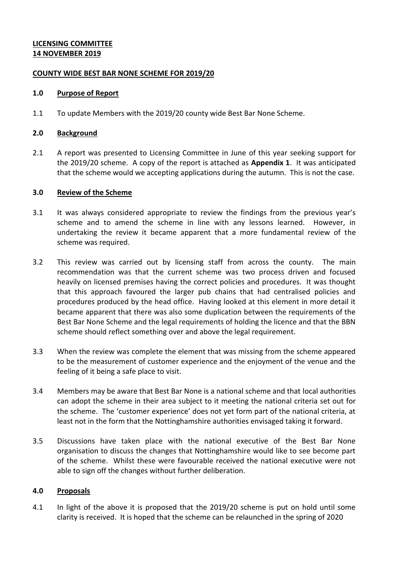# **LICENSING COMMITTEE 14 NOVEMBER 2019**

### **COUNTY WIDE BEST BAR NONE SCHEME FOR 2019/20**

### **1.0 Purpose of Report**

1.1 To update Members with the 2019/20 county wide Best Bar None Scheme.

# **2.0 Background**

2.1 A report was presented to Licensing Committee in June of this year seeking support for the 2019/20 scheme. A copy of the report is attached as **Appendix 1**. It was anticipated that the scheme would we accepting applications during the autumn. This is not the case.

# **3.0 Review of the Scheme**

- 3.1 It was always considered appropriate to review the findings from the previous year's scheme and to amend the scheme in line with any lessons learned. However, in undertaking the review it became apparent that a more fundamental review of the scheme was required.
- 3.2 This review was carried out by licensing staff from across the county. The main recommendation was that the current scheme was two process driven and focused heavily on licensed premises having the correct policies and procedures. It was thought that this approach favoured the larger pub chains that had centralised policies and procedures produced by the head office. Having looked at this element in more detail it became apparent that there was also some duplication between the requirements of the Best Bar None Scheme and the legal requirements of holding the licence and that the BBN scheme should reflect something over and above the legal requirement.
- 3.3 When the review was complete the element that was missing from the scheme appeared to be the measurement of customer experience and the enjoyment of the venue and the feeling of it being a safe place to visit.
- 3.4 Members may be aware that Best Bar None is a national scheme and that local authorities can adopt the scheme in their area subject to it meeting the national criteria set out for the scheme. The 'customer experience' does not yet form part of the national criteria, at least not in the form that the Nottinghamshire authorities envisaged taking it forward.
- 3.5 Discussions have taken place with the national executive of the Best Bar None organisation to discuss the changes that Nottinghamshire would like to see become part of the scheme. Whilst these were favourable received the national executive were not able to sign off the changes without further deliberation.

### **4.0 Proposals**

4.1 In light of the above it is proposed that the 2019/20 scheme is put on hold until some clarity is received. It is hoped that the scheme can be relaunched in the spring of 2020